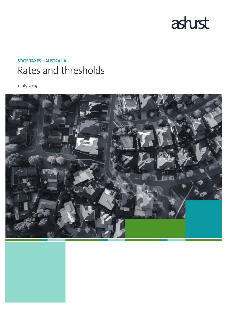

# **STATE TAXES – AUSTRALIA** Rates and thresholds

1 July 2019

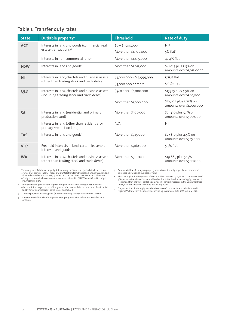# **Table 1: Transfer duty rates**

| <b>State</b>     | Dutiable property <sup>1</sup>                                                                | <b>Threshold</b>          | Rate of duty <sup>2</sup>                                      |
|------------------|-----------------------------------------------------------------------------------------------|---------------------------|----------------------------------------------------------------|
| <b>ACT</b>       | Interests in land and goods (commercial real                                                  | $$0 - $1,500,000$         | N <sub>15</sub>                                                |
|                  | estate transactions) <sup>3</sup>                                                             | More than \$1,500,000     | $5\%$ flat <sup>5</sup>                                        |
|                  | Interests in non-commercial land <sup>4</sup>                                                 | More than \$1,455,000     | 4.54% flat                                                     |
| <b>NSW</b>       | Interests in land and goods <sup>3</sup>                                                      | More than \$1,013,000     | \$41,017 plus 5.5% on<br>amounts over \$1,013,000 <sup>6</sup> |
| <b>NT</b>        | Interests in land, chattels and business assets                                               | $$3,000,000 - $4,999,999$ | 5.75% flat                                                     |
|                  | (other than trading stock and trade debts)                                                    | \$5,000,000 or more       | 5.95% flat                                                     |
| <b>QLD</b>       | Interests in land, chattels and business assets<br>(including trading stock and trade debts)  | \$540,000 - \$1,000,000   | \$17,325 plus 4.5% on<br>amounts over \$540,000                |
|                  |                                                                                               | More than \$1,000,000     | \$38,025 plus 5.75% on<br>amounts over \$1,000,000             |
| <b>SA</b>        | Interests in land (residential and primary<br>production land)                                | More than \$500,000       | \$21,330 plus 5.5% on<br>amounts over \$500,000                |
|                  | Interests in land (other than residential or<br>primary production land)                      | N/A                       | Nil                                                            |
| <b>TAS</b>       | Interests in land and goods <sup>3</sup>                                                      | More than \$725,000       | \$27,810 plus 4.5% on<br>amounts over \$725,000                |
| VIC <sup>7</sup> | Freehold interests in land, certain leasehold<br>interests and goods <sup>3</sup>             | More than \$960,000       | $5.5%$ flat                                                    |
| <b>WA</b>        | Interests in land, chattels and business assets<br>(other than trading stock and trade debts) | More than \$500,000       | \$19,665 plus 5.15% on<br>amounts over \$500,000               |

The categories of dutiable property differ among the States but typically include certain<br>estates and interests in land; goods and chattels transferred with land; and, in QLD, WA and<br>NT, includes intellectual property, goo circumstances allow.

5 Commercial transfer duty on property which is used, wholly or partly, for commercial purposes, eg industrial, business or retail.

6 This rate applies for the portion of the dutiable value over \$1,013,000. A premium rate of 7% applies to transfers of residential land with a dutiable value exceeding \$3,040,000. It is intended that the thresholds be ad

7 Duty reduction of 10% apply to certain transfers of commercial and industrial land in regional Victoria, with the reduction increasing incrementally to 50% by 1 July 2023.

2 Rates shown are generally the highest marginal rates which apply (unless indicated<br>otherwise). Surcharges on top of the general rate may apply to the purchase of residential<br>land by foreign purchasers in some States

3 Dutiable property includes goods (other than trading stock) if transferred with land. 4 Non-commercial transfer duty applies to property which is used for residential or rural

purposes.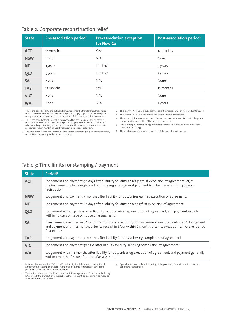| <b>State</b>     | Pre-association period <sup>1</sup> | <b>Pre-association exception</b><br>for New Co | Post-association period <sup>2</sup> |
|------------------|-------------------------------------|------------------------------------------------|--------------------------------------|
| <b>ACT</b>       | 12 months                           | Yes <sup>3</sup>                               | 12 months                            |
| <b>NSW</b>       | None                                | N/A                                            | None                                 |
| <b>NT</b>        | 3 years                             | Limited <sup>4</sup>                           | 3 years                              |
| <b>QLD</b>       | 3 years                             | Limited <sup>5</sup>                           | 3 years                              |
| <b>SA</b>        | None                                | N/A                                            | None <sup>6</sup>                    |
| TAS <sup>7</sup> | 12 months                           | Yes <sup>3</sup>                               | 12 months                            |
| VIC <sup>8</sup> | None                                | N/A                                            | None                                 |
| <b>WA</b>        | None                                | N/A                                            | 3 years                              |

1 This is the period prior to the dutiable transaction that the transferor and transferee must have been members of the same corporate group (subject to certain exceptions for newly incorporated companies and acquisitions of shelf companies). See column 2.

2 This is the period after the dutiable transaction that the transferor and transferee must remain members of the same corporate group in order to avoid a clawback of relief including, potentially, interest and penalties. There are exceptions to the post-association requirement in all jurisdictions, eg liquidation, public float.

3 The entities must have been members of the same corporate group since incorporation, unless New Co was acquired as a shelf company.

4 This is only if New Co is a subsidiary or parent corporation which was newly interposed.

5 This is only if New Co is the immediate subsidiary of the transferor.

6 There is a notification requirement if the parties cease to be associated with the parent company within 2 months of the dutiable transaction.

7 Unlike other jurisdictions, an application for exemption cannot be made prior to the transaction occurring.

8 The relief provides for a 90% concession of the duty otherwise payable.

### **Table 3: Time limits for stamping / payment**

| <b>State</b> | Period <sup>1</sup>                                                                                                                                                                                                                           |
|--------------|-----------------------------------------------------------------------------------------------------------------------------------------------------------------------------------------------------------------------------------------------|
| <b>ACT</b>   | Lodgement and payment 90 days after liability for duty arises (eg first execution of agreement) or, if<br>the instrument is to be registered with the registrar-general, payment is to be made within 14 days of<br>registration.             |
| <b>NSW</b>   | Lodgement and payment 3 months after liability for duty arises eg first execution of agreement.                                                                                                                                               |
| <b>NT</b>    | Lodgement and payment 60 days after liability for duty arises eg first execution of agreement.                                                                                                                                                |
| <b>OLD</b>   | Lodgement within 30 days after liability for duty arises eg execution of agreement, and payment usually<br>within 30 days of issue of notice of assessment. <sup>2</sup>                                                                      |
| <b>SA</b>    | If instrument executed in SA, within 2 months of execution; or if instrument executed outside SA, lodgement<br>and payment within 2 months after its receipt in SA or within 6 months after its execution, whichever period<br>first expires. |
| <b>TAS</b>   | Lodgement and payment 3 months after liability for duty arises eg completion of agreement.                                                                                                                                                    |
| <b>VIC</b>   | Lodgement and payment 30 days after liability for duty arises eg completion of agreement.                                                                                                                                                     |
| <b>WA</b>    | Lodgement within 2 months after liability for duty arises eg execution of agreement, and payment generally<br>within 1 month of issue of notice of assessment. <sup>3</sup>                                                                   |

1 In jurisdictions other than TAS and VIC the liability for duty arises on execution of agreements, not completion/settlement of agreements, regardless of conditions precedent or delay in completion/settlement.

3 Special rules may apply to the timing of the payment of duty in relation to certain conditional agreements.

2 This period may be extended for certain conditional agreements (refer to Public Ruling DA019.1.5). If the transaction is subject to self-assessment, payment must be made at the same time as lodgement.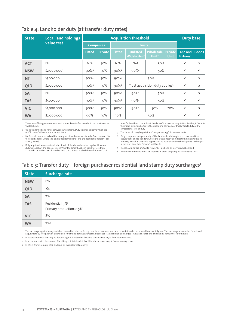| <b>State</b>    | <b>Local land holdings</b> | <b>Acquisition threshold</b>      |                |                     |                                                   | <b>Duty base</b>                      |                               |                                           |              |
|-----------------|----------------------------|-----------------------------------|----------------|---------------------|---------------------------------------------------|---------------------------------------|-------------------------------|-------------------------------------------|--------------|
|                 | value test                 | <b>Companies</b><br><b>Trusts</b> |                |                     |                                                   |                                       |                               |                                           |              |
|                 |                            | <b>Listed</b>                     | <b>Private</b> | <b>Listed</b>       | <b>Unlisted</b><br><b>Widely Held<sup>1</sup></b> | <b>Wholesale</b><br>Unit <sup>8</sup> | <b>Private</b><br><b>Unit</b> | Land and   Goods<br>Fixtures <sup>2</sup> |              |
| <b>ACT</b>      | Nil                        | N/A                               | 50%            | N/A                 | N/A<br>50%                                        |                                       | $\checkmark$                  | $\mathsf{x}$                              |              |
| <b>NSW</b>      | $$2,000,000^3$             | $90\%4$                           | 50%            | $90\%4$             | 50%<br>$90\%4$                                    |                                       | $\checkmark$                  | $\checkmark$                              |              |
| <b>NT</b>       | \$500,000                  | $90\%$ <sup>5</sup>               | 50%            | $90\%$ <sup>5</sup> | 50%                                               |                                       | $\checkmark$                  | X                                         |              |
| <b>QLD</b>      | \$2,000,000                | $90\%4$                           | 50%            | $90\%4$             | Trust acquisition duty applies <sup>6</sup>       |                                       | $\checkmark$                  | $\mathsf{x}$                              |              |
| SA <sub>7</sub> | Nil                        | 90% <sup>4</sup>                  | 50%            | $90\%4$             | $90\%4$                                           | 50%                                   |                               | $\checkmark$                              | $\mathsf{x}$ |
| <b>TAS</b>      | \$500,000                  | $90\%4$                           | 50%            | $90\%4$             | 50%<br>$90\%4$                                    |                                       | $\checkmark$                  | $\checkmark$                              |              |
| <b>VIC</b>      | \$1,000,000                | $90\%4$                           | 50%            | $90\%4$             | $90\%4$                                           | 50%                                   | 20%                           | ✓                                         | X            |
| <b>WA</b>       | \$2,000,000                | 90%                               | 50%            | 90%                 |                                                   | 50%                                   |                               | $\checkmark$                              | $\checkmark$ |

### **Table 4: Landholder duty (at transfer duty rates)**

1 There are differing requirements which must be satisfied in order to be considered as "widely held".

2 "Land" is defined and varies between jurisdictions. Duty extends to items which are not "fixtures" at law in some jurisdictions.

3 For freehold interests in land the unimproved land value needs to be \$2m or more. No threshold applies where the land is "residential land" and the acquirer is "foreign" (see table 5 below).

4 Duty applies at a concessional rate of 10% of the duty otherwise payable. However, duty will apply at the general rate in VIC if the entity has been listed for less than 12 months or, in the case of a widely held trust, it has satisfied the definition of that

term for less than 12 months at the date of the relevant acquisition. Further, in Victoria the initial listing and offer to the public of a company or trust attracts duty at the concessional rate of duty.

5 The threshold may be 50% for a "merger vesting" of shares or units.

6 Duty is imposed independently of the landholder duty regime on trust creations, acquisitions and surrenders where the trust directly or indirectly holds any dutiable property. No value threshold applies and no acquisition threshold applies to changes in interests in certain "private" unit trusts.

7 "Landholdings" are limited to residential land and primary production land.

8 Various requirements must be satisfied in order to qualify as a wholesale trust.

# Table 5: Transfer duty – foreign purchaser residential land stamp duty surcharges<sup>1</sup>

| <b>State</b> | <b>Surcharge rate</b>                                                 |
|--------------|-----------------------------------------------------------------------|
| <b>NSW</b>   | 8%                                                                    |
| QLD          | 7%                                                                    |
| <b>SA</b>    | 7%                                                                    |
| <b>TAS</b>   | Residential: 3% <sup>2</sup><br>Primary production: 0.5% <sup>3</sup> |
| <b>VIC</b>   | 8%                                                                    |
| <b>WA</b>    | $7\%4$                                                                |

The surcharge applies to any dutiable transaction where a foreign purchaser acquires land and is in addition to the normal transfer duty rate. The surcharge also applies for relevant<br>acquisitions by foreigners in landholde

2 In accordance with the 2019-20 State Budget it is intended that this rate increase to 7% from 1 January 2020.

3 In accordance with the 2019-20 State Budget it is intended that this rate increase to 1.5% from 1 January 2020.

4 In effect from 1 January 2019 and applies to residential property.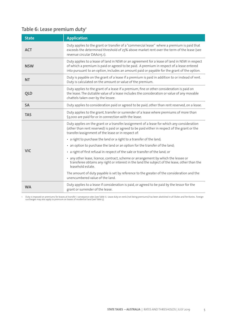# Table 6: Lease premium duty<sup>1</sup>

| <b>State</b> | <b>Application</b>                                                                                                                                                                                                                                                                      |
|--------------|-----------------------------------------------------------------------------------------------------------------------------------------------------------------------------------------------------------------------------------------------------------------------------------------|
| <b>ACT</b>   | Duty applies to the grant or transfer of a "commercial lease" where a premium is paid that<br>exceeds the determined threshold of 25% above market rent over the term of the lease (see<br>revenue circular DAA015.1).                                                                  |
| <b>NSW</b>   | Duty applies to a lease of land in NSW or an agreement for a lease of land in NSW in respect<br>of which a premium is paid or agreed to be paid. A premium in respect of a lease entered<br>into pursuant to an option, includes an amount paid or payable for the grant of the option. |
| <b>NT</b>    | Duty is payable on the grant of a lease if a premium is paid in addition to or instead of rent.<br>Duty is calculated on the amount or value of the premium.                                                                                                                            |
| <b>QLD</b>   | Duty applies to the grant of a lease if a premium, fine or other consideration is paid on<br>the lease. The dutiable value of a lease includes the consideration or value of any movable<br>chattels taken over by the lessee.                                                          |
| <b>SA</b>    | Duty applies to consideration paid or agreed to be paid, other than rent reserved, on a lease.                                                                                                                                                                                          |
| <b>TAS</b>   | Duty applies to the grant, transfer or surrender of a lease where premiums of more than<br>\$3,000 are paid for or in connection with the lease.                                                                                                                                        |
|              | Duty applies on the grant or a transfer/assignment of a lease for which any consideration<br>(other than rent reserved) is paid or agreed to be paid either in respect of the grant or the<br>transfer/assignment of the lease or in respect of:                                        |
|              | • a right to purchase the land or a right to a transfer of the land;                                                                                                                                                                                                                    |
|              | • an option to purchase the land or an option for the transfer of the land;                                                                                                                                                                                                             |
| <b>VIC</b>   | • a right of first refusal in respect of the sale or transfer of the land; or                                                                                                                                                                                                           |
|              | • any other lease, licence, contract, scheme or arrangement by which the lessee or<br>transferee obtains any right or interest in the land the subject of the lease, other than the<br>leasehold estate.                                                                                |
|              | The amount of duty payable is set by reference to the greater of the consideration and the<br>unencumbered value of the land.                                                                                                                                                           |
| <b>WA</b>    | Duty applies to a lease if consideration is paid, or agreed to be paid by the lessor for the<br>grant or surrender of the lease.                                                                                                                                                        |

1 Duty is imposed on premiums for leases at transfer / conveyance rates (see Table 1). Lease duty on rents (not being premiums) has been abolished in all States and Territories. Foreign<br>surcharges may also apply to premium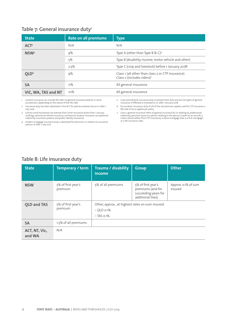### **Table 7: General insurance duty1**

| <b>State</b>        | <b>Rate on all premiums</b> | <b>Type</b>                                                                     |
|---------------------|-----------------------------|---------------------------------------------------------------------------------|
| ACT <sup>2</sup>    | N/A                         | N/A                                                                             |
| NSW <sup>3</sup>    | 9%                          | Type A (other than Type B & C) <sup>4</sup>                                     |
|                     | 5%                          | Type B (disability income, motor vehicle and other)                             |
|                     | 2.5%                        | Type C (crop and livestock) before 1 January 2018 <sup>5</sup>                  |
| OLD <sup>6</sup>    | 9%                          | Class 1 (all other than class 2 or CTP insurance)<br>Class 2 (includes riders)7 |
| <b>SA</b>           | 11%                         | All general insurance                                                           |
| VIC, WA, TAS and NT | 10%                         | All general insurance                                                           |

1 General insurance can include life riders to general insurance policies in some jurisdictions, depending on the nature of the life rider.

2 Insurance duty has been abolished in the ACT for policies entered into on or after 1 July 2016.

3 Certain small businesses are exempt from some insurance duties from 1 January<br>2018 (eg, commercial vehicle insurance, commercial aviation insurance, occupational<br>indemnity insurance, product and public liability insuran

4 Lenders mortgage insurance duty is abolished for premiums in relation to insurance paid on or after 1 July 2017.

5 Crop and livestock insurance duty is exempt from duty and are not types of general insurance, if effected or renewed on or after 1 January 2018.

6 For accident insurance, duty of 5% of the net premium applies, and for CTP insurance a flat rate of \$0.10 applies per policy.

7 Class 2 general insurance refers to general insurance for, or relating to, professional<br>indemnity, personal injury to a person relating to the person's travel on an aircraft, a<br>motor vehicle (other than CTP insurance) or a life insurance rider.

### **Table 8: Life insurance duty**

| <b>State</b>            | Temporary / term              | <b>Trauma / disability</b><br>income                                            | <b>Group</b>                                                                         | <b>Other</b>                   |
|-------------------------|-------------------------------|---------------------------------------------------------------------------------|--------------------------------------------------------------------------------------|--------------------------------|
| <b>NSW</b>              | 5% of first year's<br>premium | 5% of all premiums                                                              | 5% of first year's<br>premiums (and for<br>succeeding years for<br>additional lives) | Approx. 0.1% of sum<br>insured |
| <b>QLD and TAS</b>      | 5% of first year's<br>premium | Other, approx., at highest rates on sum insured:<br>$-$ OLD 0.1%<br>$-TAS$ 0.1% |                                                                                      |                                |
| <b>SA</b>               | 1.5% of all premiums          |                                                                                 |                                                                                      |                                |
| ACT, NT, Vic,<br>and WA | N/A                           |                                                                                 |                                                                                      |                                |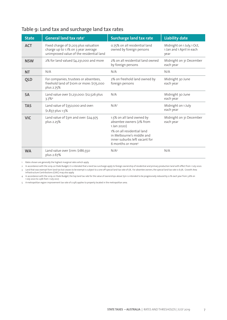| <b>State</b> | General land tax rate <sup>1</sup>                                                                                        | <b>Surcharge land tax rate</b>                                                                                            | <b>Liability date</b>                                           |
|--------------|---------------------------------------------------------------------------------------------------------------------------|---------------------------------------------------------------------------------------------------------------------------|-----------------------------------------------------------------|
| <b>ACT</b>   | Fixed charge of \$1,203 plus valuation<br>charge up to 1.1% on 3 year average<br>unimproved value of the residential land | 0.75% on all residential land<br>owned by foreign persons                                                                 | Midnight on 1 July, 1 Oct,<br>1 Jan and 1 April in each<br>year |
| <b>NSW</b>   | 2% for land valued \$4,231,000 and more                                                                                   | 2% on all residential land owned<br>by foreign persons                                                                    | Midnight on 31 December<br>each year                            |
| <b>NT</b>    | N/A                                                                                                                       | N/A                                                                                                                       | N/A                                                             |
| <b>QLD</b>   | For companies, trustees or absentees,<br>freehold land of \$10m or more: \$175,000<br>plus 2.75%                          | 2% on freehold land owned by<br>foreign persons                                                                           | Midnight 30 June<br>each year                                   |
| <b>SA</b>    | Land value over \$1,231,000: \$12,526 plus<br>$3.7\%4$                                                                    | N/A                                                                                                                       | Midnight 30 June<br>each year                                   |
| <b>TAS</b>   | Land value of \$350,000 and over:<br>\$1,837 plus 1.5%                                                                    | N/A <sup>2</sup>                                                                                                          | Midnight on 1 July<br>each year                                 |
| <b>VIC</b>   | Land value of \$3m and over: \$24,975<br>plus 2.25%                                                                       | 1.5% on all land owned by<br>absentee owners (2% from<br>1 Jan 2020)                                                      | Midnight on 31 December<br>each year                            |
|              |                                                                                                                           | 1% on all residential land<br>in Melbourne's middle and<br>inner suburbs left vacant for<br>6 months or more <sup>3</sup> |                                                                 |
| <b>WA</b>    | Land value over \$11m: \$186,550<br>plus 2.67%                                                                            | N/A <sup>5</sup>                                                                                                          | N/A                                                             |

# **Table 9: Land tax and surcharge land tax rates**

1 Rates shown are generally the highest marginal rates which apply.

2 In accordance with the 2019-20 State Budget, it is intended that a land tax surcharge apply to foreign ownership of residential and primary production land with effect from 1 July 2020.

3 Land that was exempt from land tax but ceases to be exempt is subject to a one off special land tax rate of 5%. For absentee owners, the special land tax rate is 6.5%. Growth Area<br>Infrastructure Contributions (GAIC) may

4 In accordance with the 2019-20 State Budget, the top land tax rate for the value of ownerships above \$5m is intended to be progressively reduced by 0.1% each year from 3.6% on 1 July 2020 to 2.9% from 1 July 2027.

5 A metropolitan region improvement tax rate of 0.14% applies to property located in the metropolitan area.